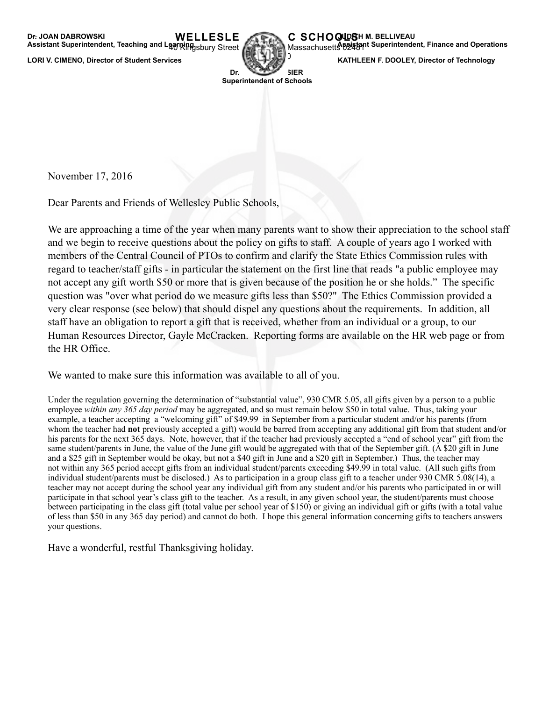

**Massachusett&ssistant Superintendent, Finance and Operations** 

**LORI V. CIMENO, Director of Student Services KATHLEEN F. DOOLEY, Director of Technology** 

1980-1981-1981 **Dr.** WEBSTER **Superintendent of Schools** 

November 17, 2016

Dear Parents and Friends of Wellesley Public Schools,

We are approaching a time of the year when many parents want to show their appreciation to the school staff and we begin to receive questions about the policy on gifts to staff. A couple of years ago I worked with members of the Central Council of PTOs to confirm and clarify the [State Ethics Commission rules](http://www.mass.gov/ethics/gifts-to-public-school-teachers-and-staff.html) with regard to teacher/staff gifts - in particular the statement on the first line that reads "a public employee may not accept any gift worth \$50 or more that is given because of the position he or she holds." The specific question was "over what period do we measure gifts less than \$50?" The Ethics Commission provided a very clear response (see below) that should dispel any questions about the requirements. In addition, all staff have an obligation to report a gift that is received, whether from an individual or a group, to our Human Resources Director, Gayle McCracken. Reporting forms are available on the HR web page or from the HR Office.

We wanted to make sure this information was available to all of you.

Under the regulation governing the determination of "substantial value", 930 CMR 5.05, all gifts given by a person to a public employee *within any 365 day period* may be aggregated, and so must remain below \$50 in total value. Thus, taking your example, a teacher accepting a "welcoming gift" of \$49.99 in September from a particular student and/or his parents (from whom the teacher had **not** previously accepted a gift) would be barred from accepting any additional gift from that student and/or his parents for the next 365 days. Note, however, that if the teacher had previously accepted a "end of school year" gift from the same student/parents in June, the value of the June gift would be aggregated with that of the September gift. (A \$20 gift in June and a \$25 gift in September would be okay, but not a \$40 gift in June and a \$20 gift in September.) Thus, the teacher may not within any 365 period accept gifts from an individual student/parents exceeding \$49.99 in total value. (All such gifts from individual student/parents must be disclosed.) As to participation in a group class gift to a teacher under 930 CMR 5.08(14), a teacher may not accept during the school year any individual gift from any student and/or his parents who participated in or will participate in that school year's class gift to the teacher. As a result, in any given school year, the student/parents must choose between participating in the class gift (total value per school year of \$150) or giving an individual gift or gifts (with a total value of less than \$50 in any 365 day period) and cannot do both. I hope this general information concerning gifts to teachers answers your questions.

Have a wonderful, restful Thanksgiving holiday.